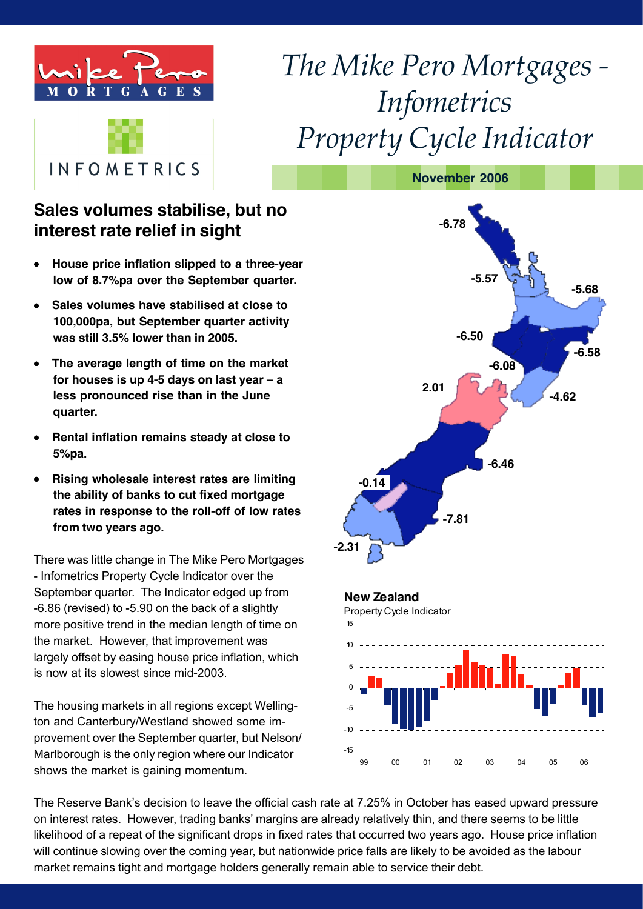



# *The Mike Pero Mortgages* -*Infometrics*  $Property Cycle Indication$

**November 2006**

# **Sales volumes stabilise, but no interest rate relief in sight**

- **House price inflation slipped to a three-year low of 8.7%pa over the September quarter.**
- **Sales volumes have stabilised at close to 100,000pa, but September quarter activity was still 3.5% lower than in 2005.**
- **The average length of time on the market for houses is up 4-5 days on last year – a less pronounced rise than in the June quarter.**
- **Rental inflation remains steady at close to 5%pa.**
- **Rising wholesale interest rates are limiting the ability of banks to cut fixed mortgage rates in response to the roll-off of low rates from two years ago.**

There was little change in The Mike Pero Mortgages - Infometrics Property Cycle Indicator over the September quarter. The Indicator edged up from -6.86 (revised) to -5.90 on the back of a slightly more positive trend in the median length of time on the market. However, that improvement was largely offset by easing house price inflation, which is now at its slowest since mid-2003.

The housing markets in all regions except Wellington and Canterbury/Westland showed some improvement over the September quarter, but Nelson/ Marlborough is the only region where our Indicator shows the market is gaining momentum.



The Reserve Bank's decision to leave the official cash rate at 7.25% in October has eased upward pressure on interest rates. However, trading banks' margins are already relatively thin, and there seems to be little likelihood of a repeat of the significant drops in fixed rates that occurred two years ago. House price inflation will continue slowing over the coming year, but nationwide price falls are likely to be avoided as the labour market remains tight and mortgage holders generally remain able to service their debt.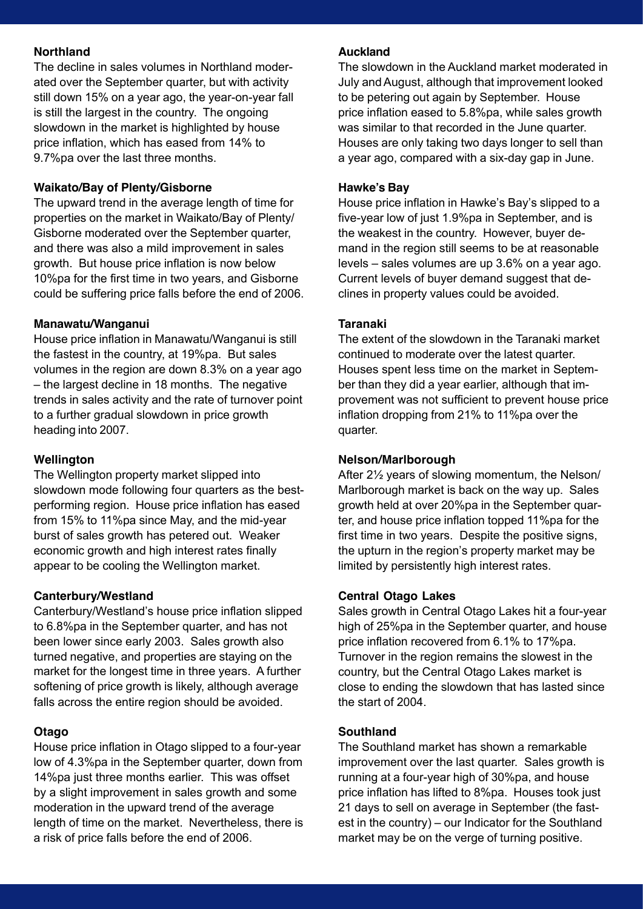### **Northland**

The decline in sales volumes in Northland moderated over the September quarter, but with activity still down 15% on a year ago, the year-on-year fall is still the largest in the country. The ongoing slowdown in the market is highlighted by house price inflation, which has eased from 14% to 9.7%pa over the last three months.

### **Waikato/Bay of Plenty/Gisborne**

The upward trend in the average length of time for properties on the market in Waikato/Bay of Plenty/ Gisborne moderated over the September quarter, and there was also a mild improvement in sales growth. But house price inflation is now below 10%pa for the first time in two years, and Gisborne could be suffering price falls before the end of 2006.

### **Manawatu/Wanganui**

House price inflation in Manawatu/Wanganui is still the fastest in the country, at 19%pa. But sales volumes in the region are down 8.3% on a year ago – the largest decline in 18 months. The negative trends in sales activity and the rate of turnover point to a further gradual slowdown in price growth heading into 2007.

### **Wellington**

The Wellington property market slipped into slowdown mode following four quarters as the bestperforming region. House price inflation has eased from 15% to 11%pa since May, and the mid-year burst of sales growth has petered out. Weaker economic growth and high interest rates finally appear to be cooling the Wellington market.

### **Canterbury/Westland**

Canterbury/Westland's house price inflation slipped to 6.8%pa in the September quarter, and has not been lower since early 2003. Sales growth also turned negative, and properties are staying on the market for the longest time in three years. A further softening of price growth is likely, although average falls across the entire region should be avoided.

### **Otago**

House price inflation in Otago slipped to a four-year low of 4.3%pa in the September quarter, down from 14%pa just three months earlier. This was offset by a slight improvement in sales growth and some moderation in the upward trend of the average length of time on the market. Nevertheless, there is a risk of price falls before the end of 2006.

### **Auckland**

The slowdown in the Auckland market moderated in July andAugust, although that improvement looked to be petering out again by September. House price inflation eased to 5.8%pa, while sales growth was similar to that recorded in the June quarter. Houses are only taking two days longer to sell than a year ago, compared with a six-day gap in June.

### **Hawke's Bay**

House price inflation in Hawke's Bay's slipped to a five-year low of just 1.9%pa in September, and is the weakest in the country. However, buyer demand in the region still seems to be at reasonable levels – sales volumes are up 3.6% on a year ago. Current levels of buyer demand suggest that declines in property values could be avoided.

### **Taranaki**

The extent of the slowdown in the Taranaki market continued to moderate over the latest quarter. Houses spent less time on the market in September than they did a year earlier, although that improvement was not sufficient to prevent house price inflation dropping from 21% to 11%pa over the quarter.

### **Nelson/Marlborough**

After 2½ years of slowing momentum, the Nelson/ Marlborough market is back on the way up. Sales growth held at over 20%pa in the September quarter, and house price inflation topped 11%pa for the first time in two years. Despite the positive signs, the upturn in the region's property market may be limited by persistently high interest rates.

### **Central Otago Lakes**

Sales growth in Central Otago Lakes hit a four-year high of 25%pa in the September quarter, and house price inflation recovered from 6.1% to 17%pa. Turnover in the region remains the slowest in the country, but the Central Otago Lakes market is close to ending the slowdown that has lasted since the start of 2004.

### **Southland**

The Southland market has shown a remarkable improvement over the last quarter. Sales growth is running at a four-year high of 30%pa, and house price inflation has lifted to 8%pa. Houses took just 21 days to sell on average in September (the fastest in the country) – our Indicator for the Southland market may be on the verge of turning positive.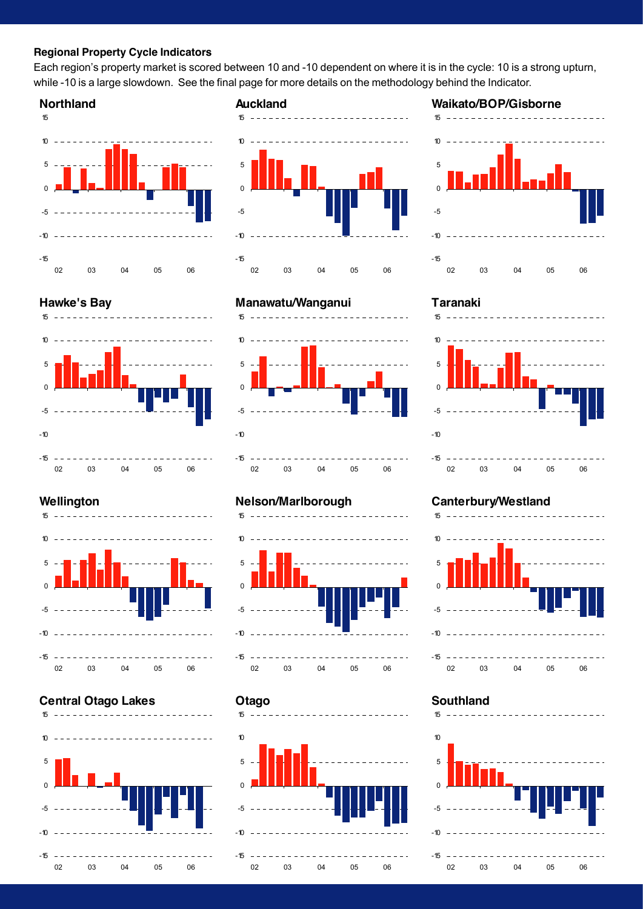#### **Regional Property Cycle Indicators**

Each region's property market is scored between 10 and -10 dependent on where it is in the cycle: 10 is a strong upturn, while -10 is a large slowdown. See the final page for more details on the methodology behind the Indicator.

**Auckland**

#### **Northland**



# **Hawke's Bay**



# $15 - - - - - - - 10$ 5  $\Omega$ -5 -10 -15 02 03 04 05 06

## **Manawatu/Wanganui** 15 <u>. . . . . . . . . . . . . .</u> 10 5 0 -5



### **Wellington**



### **Central Otago Lakes**



### **Nelson/Marlborough**



#### **Otago**



### **Waikato/BOP/Gisborne**



### **Taranaki**



### **Canterbury/Westland**



### **Southland**